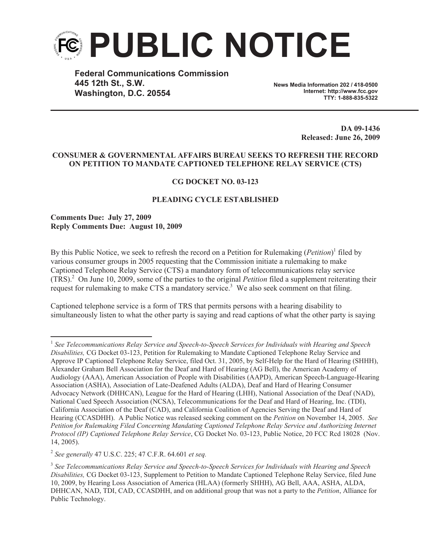

**Federal Communications Commission 445 12th St., S.W. Washington, D.C. 20554**

**News Media Information 202 / 418-0500 Internet: http://www.fcc.gov TTY: 1-888-835-5322**

> **DA 09-1436 Released: June 26, 2009**

## **CONSUMER & GOVERNMENTAL AFFAIRS BUREAU SEEKS TO REFRESH THE RECORD ON PETITION TO MANDATE CAPTIONED TELEPHONE RELAY SERVICE (CTS)**

## **CG DOCKET NO. 03-123**

## **PLEADING CYCLE ESTABLISHED**

**Comments Due: July 27, 2009 Reply Comments Due: August 10, 2009**

By this Public Notice, we seek to refresh the record on a Petition for Rulemaking (*Petition*) 1 filed by various consumer groups in 2005 requesting that the Commission initiate a rulemaking to make Captioned Telephone Relay Service (CTS) a mandatory form of telecommunications relay service (TRS).<sup>2</sup> On June 10, 2009, some of the parties to the original *Petition* filed a supplement reiterating their request for rulemaking to make CTS a mandatory service.<sup>3</sup> We also seek comment on that filing.

Captioned telephone service is a form of TRS that permits persons with a hearing disability to simultaneously listen to what the other party is saying and read captions of what the other party is saying

2 *See generally* 47 U.S.C. 225; 47 C.F.R. 64.601 *et seq.*

<sup>1</sup> *See Telecommunications Relay Service and Speech-to-Speech Services for Individuals with Hearing and Speech Disabilities,* CG Docket 03-123, Petition for Rulemaking to Mandate Captioned Telephone Relay Service and Approve IP Captioned Telephone Relay Service, filed Oct. 31, 2005, by Self-Help for the Hard of Hearing (SHHH), Alexander Graham Bell Association for the Deaf and Hard of Hearing (AG Bell), the American Academy of Audiology (AAA), American Association of People with Disabilities (AAPD), American Speech-Language-Hearing Association (ASHA), Association of Late-Deafened Adults (ALDA), Deaf and Hard of Hearing Consumer Advocacy Network (DHHCAN), League for the Hard of Hearing (LHH), National Association of the Deaf (NAD), National Cued Speech Association (NCSA), Telecommunications for the Deaf and Hard of Hearing, Inc. (TDI), California Association of the Deaf (CAD), and California Coalition of Agencies Serving the Deaf and Hard of Hearing (CCASDHH). A Public Notice was released seeking comment on the *Petition* on November 14, 2005. *See Petition for Rulemaking Filed Concerning Mandating Captioned Telephone Relay Service and Authorizing Internet Protocol (IP) Captioned Telephone Relay Service*, CG Docket No. 03-123, Public Notice, 20 FCC Rcd 18028 (Nov. 14, 2005).

<sup>3</sup> *See Telecommunications Relay Service and Speech-to-Speech Services for Individuals with Hearing and Speech Disabilities,* CG Docket 03-123, Supplement to Petition to Mandate Captioned Telephone Relay Service, filed June 10, 2009, by Hearing Loss Association of America (HLAA) (formerly SHHH), AG Bell, AAA, ASHA, ALDA, DHHCAN, NAD, TDI, CAD, CCASDHH, and on additional group that was not a party to the *Petition*, Alliance for Public Technology.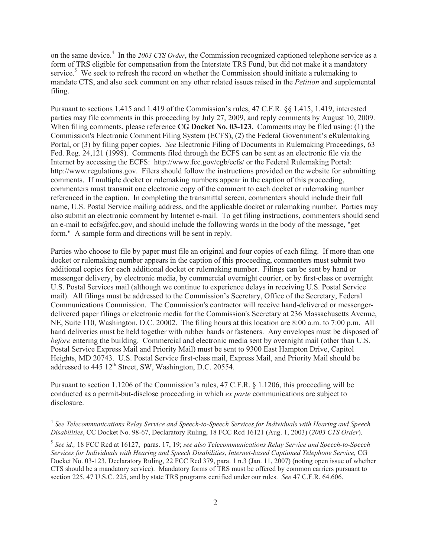on the same device.<sup>4</sup> In the *2003 CTS Order*, the Commission recognized captioned telephone service as a form of TRS eligible for compensation from the Interstate TRS Fund, but did not make it a mandatory service.<sup>5</sup> We seek to refresh the record on whether the Commission should initiate a rulemaking to mandate CTS, and also seek comment on any other related issues raised in the *Petition* and supplemental filing.

Pursuant to sections 1.415 and 1.419 of the Commission's rules, 47 C.F.R. §§ 1.415, 1.419, interested parties may file comments in this proceeding by July 27, 2009, and reply comments by August 10, 2009. When filing comments, please reference **CG Docket No. 03-123.** Comments may be filed using: (1) the Commission's Electronic Comment Filing System (ECFS), (2) the Federal Government's eRulemaking Portal, or (3) by filing paper copies. *See* Electronic Filing of Documents in Rulemaking Proceedings, 63 Fed. Reg. 24,121 (1998). Comments filed through the ECFS can be sent as an electronic file via the Internet by accessing the ECFS: http://www.fcc.gov/cgb/ecfs/ or the Federal Rulemaking Portal: http://www.regulations.gov. Filers should follow the instructions provided on the website for submitting comments. If multiple docket or rulemaking numbers appear in the caption of this proceeding, commenters must transmit one electronic copy of the comment to each docket or rulemaking number referenced in the caption. In completing the transmittal screen, commenters should include their full name, U.S. Postal Service mailing address, and the applicable docket or rulemaking number. Parties may also submit an electronic comment by Internet e-mail. To get filing instructions, commenters should send an e-mail to ecfs@fcc.gov, and should include the following words in the body of the message, "get form." A sample form and directions will be sent in reply.

Parties who choose to file by paper must file an original and four copies of each filing. If more than one docket or rulemaking number appears in the caption of this proceeding, commenters must submit two additional copies for each additional docket or rulemaking number. Filings can be sent by hand or messenger delivery, by electronic media, by commercial overnight courier, or by first-class or overnight U.S. Postal Services mail (although we continue to experience delays in receiving U.S. Postal Service mail). All filings must be addressed to the Commission's Secretary, Office of the Secretary, Federal Communications Commission. The Commission's contractor will receive hand-delivered or messengerdelivered paper filings or electronic media for the Commission's Secretary at 236 Massachusetts Avenue, NE, Suite 110, Washington, D.C. 20002. The filing hours at this location are 8:00 a.m. to 7:00 p.m. All hand deliveries must be held together with rubber bands or fasteners. Any envelopes must be disposed of *before* entering the building. Commercial and electronic media sent by overnight mail (other than U.S. Postal Service Express Mail and Priority Mail) must be sent to 9300 East Hampton Drive, Capitol Heights, MD 20743. U.S. Postal Service first-class mail, Express Mail, and Priority Mail should be addressed to 445 12<sup>th</sup> Street, SW, Washington, D.C. 20554.

Pursuant to section 1.1206 of the Commission's rules, 47 C.F.R. § 1.1206, this proceeding will be conducted as a permit-but-disclose proceeding in which *ex parte* communications are subject to disclosure.

<sup>4</sup> *See Telecommunications Relay Service and Speech-to-Speech Services for Individuals with Hearing and Speech Disabilities*, CC Docket No. 98-67, Declaratory Ruling, 18 FCC Rcd 16121 (Aug. 1, 2003) (*2003 CTS Order*).

<sup>5</sup> *See id.,* 18 FCC Rcd at 16127, paras. 17, 19; *see also Telecommunications Relay Service and Speech-to-Speech Services for Individuals with Hearing and Speech Disabilities*, *Internet-based Captioned Telephone Service,* CG Docket No. 03-123, Declaratory Ruling, 22 FCC Rcd 379, para. 1 n.3 (Jan. 11, 2007) (noting open issue of whether CTS should be a mandatory service). Mandatory forms of TRS must be offered by common carriers pursuant to section 225, 47 U.S.C. 225, and by state TRS programs certified under our rules. *See* 47 C.F.R. 64.606.